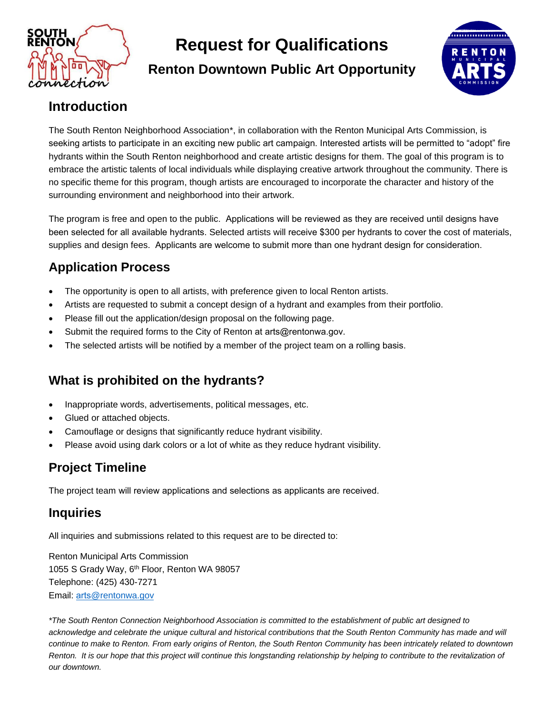

## **Request for Qualifications**

**Renton Downtown Public Art Opportunity** 



### **Introduction**

The South Renton Neighborhood Association\*, in collaboration with the Renton Municipal Arts Commission, is seeking artists to participate in an exciting new public art campaign. Interested artists will be permitted to "adopt" fire hydrants within the South Renton neighborhood and create artistic designs for them. The goal of this program is to embrace the artistic talents of local individuals while displaying creative artwork throughout the community. There is no specific theme for this program, though artists are encouraged to incorporate the character and history of the surrounding environment and neighborhood into their artwork.

The program is free and open to the public. Applications will be reviewed as they are received until designs have been selected for all available hydrants. Selected artists will receive \$300 per hydrants to cover the cost of materials, supplies and design fees. Applicants are welcome to submit more than one hydrant design for consideration.

#### **Application Process**

- The opportunity is open to all artists, with preference given to local Renton artists.
- Artists are requested to submit a concept design of a hydrant and examples from their portfolio.
- Please fill out the application/design proposal on the following page.
- Submit the required forms to the City of Renton at arts@rentonwa.gov.
- The selected artists will be notified by a member of the project team on a rolling basis.

#### **What is prohibited on the hydrants?**

- Inappropriate words, advertisements, political messages, etc.
- Glued or attached objects.
- Camouflage or designs that significantly reduce hydrant visibility.
- Please avoid using dark colors or a lot of white as they reduce hydrant visibility.

#### **Project Timeline**

The project team will review applications and selections as applicants are received.

#### **Inquiries**

All inquiries and submissions related to this request are to be directed to:

Renton Municipal Arts Commission 1055 S Grady Way, 6 th Floor, Renton WA 98057 Telephone: (425) 430-7271 Email: arts@rentonwa.gov

*\*The South Renton Connection Neighborhood Association is committed to the establishment of public art designed to* acknowledge and celebrate the unique cultural and historical contributions that the South Renton Community has made and will *continue to make to Renton. From early origins of Renton, the South Renton Community has been intricately related to downtown Renton. It is our hope that this project will continue this longstanding relationship by helping to contribute to the revitalization of our downtown.*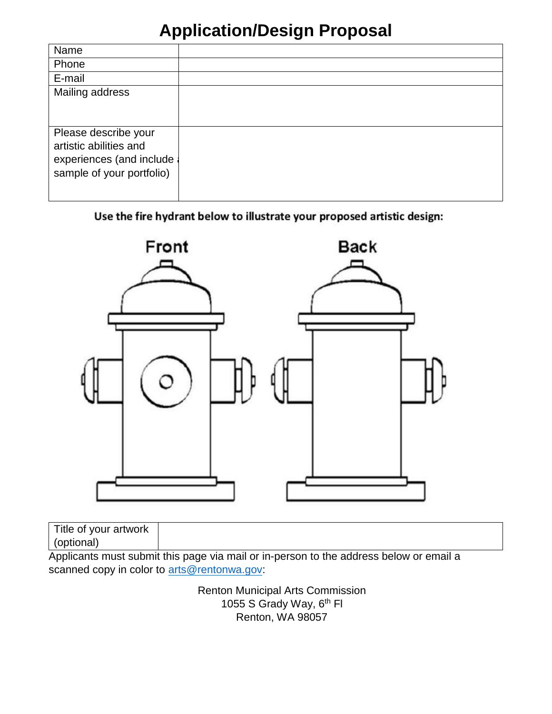## **Application/Design Proposal**

| Name                      |  |
|---------------------------|--|
| Phone                     |  |
| E-mail                    |  |
| Mailing address           |  |
|                           |  |
|                           |  |
| Please describe your      |  |
| artistic abilities and    |  |
| experiences (and include  |  |
| sample of your portfolio) |  |
|                           |  |
|                           |  |

#### Use the fire hydrant below to illustrate your proposed artistic design:



| Title of your artwork |   |  |  |
|-----------------------|---|--|--|
|                       |   |  |  |
| <br>$\blacksquare$    | . |  |  |

Applicants must submit this page via mail or in-person to the address below or email a scanned copy in color to arts@rentonwa.gov:

> Renton Municipal Arts Commission 1055 S Grady Way, 6<sup>th</sup> Fl Renton, WA 98057